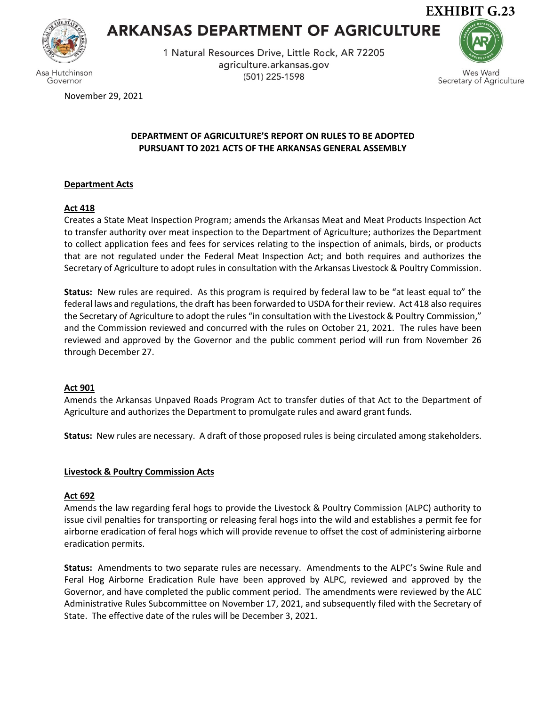

Governor

# **ARKANSAS DEPARTMENT OF AGRICULTURE**

1 Natural Resources Drive, Little Rock, AR 72205 agriculture.arkansas.gov (501) 225-1598



Wes Ward Secretary of Agriculture

November 29, 2021

# **DEPARTMENT OF AGRICULTURE'S REPORT ON RULES TO BE ADOPTED PURSUANT TO 2021 ACTS OF THE ARKANSAS GENERAL ASSEMBLY**

# **Department Acts**

# **Act 418**

Creates a State Meat Inspection Program; amends the Arkansas Meat and Meat Products Inspection Act to transfer authority over meat inspection to the Department of Agriculture; authorizes the Department to collect application fees and fees for services relating to the inspection of animals, birds, or products that are not regulated under the Federal Meat Inspection Act; and both requires and authorizes the Secretary of Agriculture to adopt rules in consultation with the Arkansas Livestock & Poultry Commission.

**Status:** New rules are required. As this program is required by federal law to be "at least equal to" the federal laws and regulations, the draft has been forwarded to USDA for their review. Act 418 also requires the Secretary of Agriculture to adopt the rules "in consultation with the Livestock & Poultry Commission," and the Commission reviewed and concurred with the rules on October 21, 2021. The rules have been reviewed and approved by the Governor and the public comment period will run from November 26 through December 27.

## **Act 901**

Amends the Arkansas Unpaved Roads Program Act to transfer duties of that Act to the Department of Agriculture and authorizes the Department to promulgate rules and award grant funds.

**Status:** New rules are necessary. A draft of those proposed rules is being circulated among stakeholders.

## **Livestock & Poultry Commission Acts**

## **Act 692**

Amends the law regarding feral hogs to provide the Livestock & Poultry Commission (ALPC) authority to issue civil penalties for transporting or releasing feral hogs into the wild and establishes a permit fee for airborne eradication of feral hogs which will provide revenue to offset the cost of administering airborne eradication permits.

**Status:** Amendments to two separate rules are necessary. Amendments to the ALPC's Swine Rule and Feral Hog Airborne Eradication Rule have been approved by ALPC, reviewed and approved by the Governor, and have completed the public comment period. The amendments were reviewed by the ALC Administrative Rules Subcommittee on November 17, 2021, and subsequently filed with the Secretary of State. The effective date of the rules will be December 3, 2021.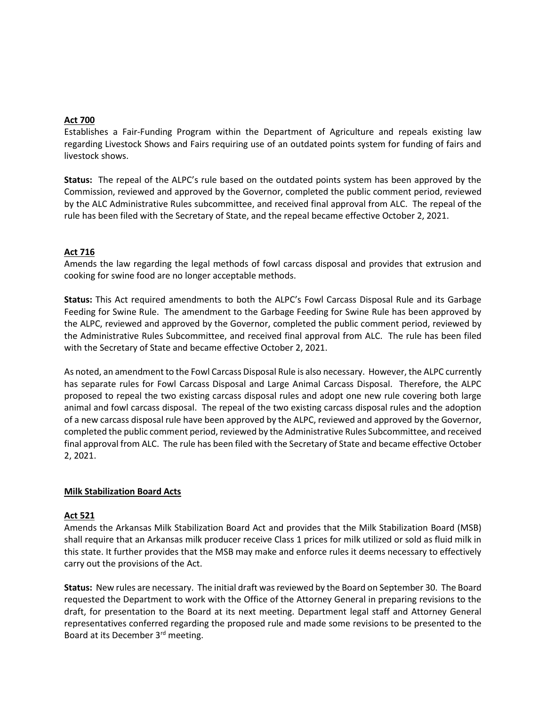## **Act 700**

Establishes a Fair-Funding Program within the Department of Agriculture and repeals existing law regarding Livestock Shows and Fairs requiring use of an outdated points system for funding of fairs and livestock shows.

**Status:** The repeal of the ALPC's rule based on the outdated points system has been approved by the Commission, reviewed and approved by the Governor, completed the public comment period, reviewed by the ALC Administrative Rules subcommittee, and received final approval from ALC. The repeal of the rule has been filed with the Secretary of State, and the repeal became effective October 2, 2021.

## **Act 716**

Amends the law regarding the legal methods of fowl carcass disposal and provides that extrusion and cooking for swine food are no longer acceptable methods.

**Status:** This Act required amendments to both the ALPC's Fowl Carcass Disposal Rule and its Garbage Feeding for Swine Rule. The amendment to the Garbage Feeding for Swine Rule has been approved by the ALPC, reviewed and approved by the Governor, completed the public comment period, reviewed by the Administrative Rules Subcommittee, and received final approval from ALC. The rule has been filed with the Secretary of State and became effective October 2, 2021.

As noted, an amendment to the Fowl Carcass Disposal Rule is also necessary. However, the ALPC currently has separate rules for Fowl Carcass Disposal and Large Animal Carcass Disposal. Therefore, the ALPC proposed to repeal the two existing carcass disposal rules and adopt one new rule covering both large animal and fowl carcass disposal. The repeal of the two existing carcass disposal rules and the adoption of a new carcass disposal rule have been approved by the ALPC, reviewed and approved by the Governor, completed the public comment period, reviewed by the Administrative Rules Subcommittee, and received final approval from ALC. The rule has been filed with the Secretary of State and became effective October 2, 2021.

## **Milk Stabilization Board Acts**

#### **Act 521**

Amends the Arkansas Milk Stabilization Board Act and provides that the Milk Stabilization Board (MSB) shall require that an Arkansas milk producer receive Class 1 prices for milk utilized or sold as fluid milk in this state. It further provides that the MSB may make and enforce rules it deems necessary to effectively carry out the provisions of the Act.

**Status:** New rules are necessary. The initial draft wasreviewed by the Board on September 30. The Board requested the Department to work with the Office of the Attorney General in preparing revisions to the draft, for presentation to the Board at its next meeting. Department legal staff and Attorney General representatives conferred regarding the proposed rule and made some revisions to be presented to the Board at its December 3rd meeting.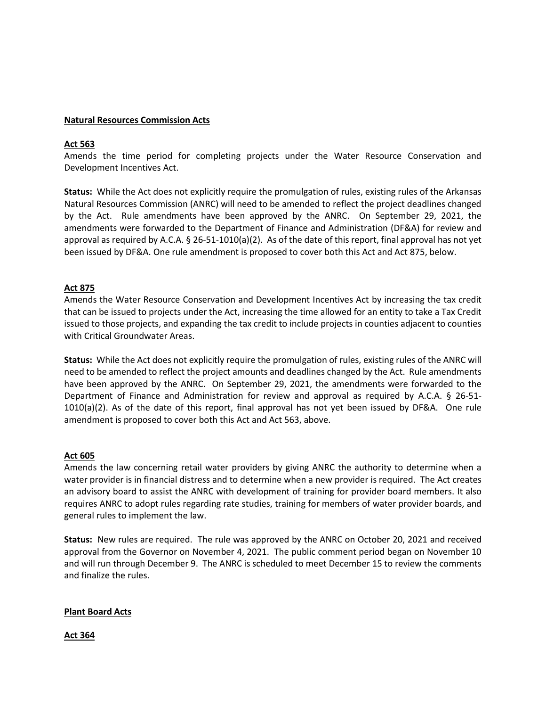#### **Natural Resources Commission Acts**

## **Act 563**

Amends the time period for completing projects under the Water Resource Conservation and Development Incentives Act.

**Status:** While the Act does not explicitly require the promulgation of rules, existing rules of the Arkansas Natural Resources Commission (ANRC) will need to be amended to reflect the project deadlines changed by the Act. Rule amendments have been approved by the ANRC. On September 29, 2021, the amendments were forwarded to the Department of Finance and Administration (DF&A) for review and approval as required by A.C.A. § 26-51-1010(a)(2). As of the date of this report, final approval has not yet been issued by DF&A. One rule amendment is proposed to cover both this Act and Act 875, below.

## **Act 875**

Amends the Water Resource Conservation and Development Incentives Act by increasing the tax credit that can be issued to projects under the Act, increasing the time allowed for an entity to take a Tax Credit issued to those projects, and expanding the tax credit to include projects in counties adjacent to counties with Critical Groundwater Areas.

**Status:** While the Act does not explicitly require the promulgation of rules, existing rules of the ANRC will need to be amended to reflect the project amounts and deadlines changed by the Act. Rule amendments have been approved by the ANRC. On September 29, 2021, the amendments were forwarded to the Department of Finance and Administration for review and approval as required by A.C.A. § 26-51- 1010(a)(2). As of the date of this report, final approval has not yet been issued by DF&A. One rule amendment is proposed to cover both this Act and Act 563, above.

## **Act 605**

Amends the law concerning retail water providers by giving ANRC the authority to determine when a water provider is in financial distress and to determine when a new provider is required. The Act creates an advisory board to assist the ANRC with development of training for provider board members. It also requires ANRC to adopt rules regarding rate studies, training for members of water provider boards, and general rules to implement the law.

**Status:** New rules are required. The rule was approved by the ANRC on October 20, 2021 and received approval from the Governor on November 4, 2021. The public comment period began on November 10 and will run through December 9. The ANRC is scheduled to meet December 15 to review the comments and finalize the rules.

#### **Plant Board Acts**

**Act 364**